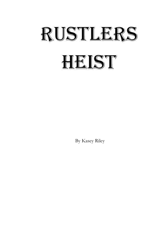## RUSTLERS HEIST

By Kasey Riley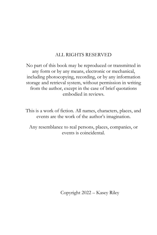## ALL RIGHTS RESERVED

No part of this book may be reproduced or transmitted in any form or by any means, electronic or mechanical, including photocopying, recording, or by any information storage and retrieval system, without permission in writing from the author, except in the case of brief quotations embodied in reviews.

This is a work of fiction. All names, characters, places, and events are the work of the author's imagination.

Any resemblance to real persons, places, companies, or events is coincidental.

Copyright 2022 – Kasey Riley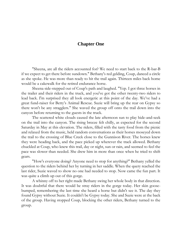## **Chapter One**

"Sheena, are all the riders accounted for? We need to start back to the R-bar-B if we expect to get there before sundown." Bethany's red gelding, Coup, danced a circle as she spoke. He was more than ready to hit the trail again. Thirteen miles back home would be a cakewalk for the retired endurance horse.

Sheena side-stepped out of Coup's path and laughed. "Yep. I got three horses in the trailer and their riders in the truck, and you've got the other twenty-two riders to lead back. I'm surprised they all look energetic at this point of the day. We've had a great fund-raiser for Betty's Animal Rescue. Suzie will bring up the rear on Gypsy so there won't be any stragglers." She waved the group off onto the trail down into the canyon before returning to the guests in the truck.

The scattered white clouds caused the late afternoon sun to play hide-and-seek on the trail into the canyon. The rising breeze felt chilly, as expected for the second Saturday in May at this elevation. The riders, filled with the tasty food from the picnic and relaxed from the music, held random conversations as their horses moseyed down the trail to the crossing of Blue Creek close to the Gunnison River. The horses knew they were heading back, and the pace picked up wherever the track allowed. Bethany chuckled at Coup, who knew this trail, day or night, sun or rain, and seemed to feel the pace was slower than needed. She drew him in more than once when he tried to shift gears.

"How's everyone doing? Anyone need to stop for anything?" Bethany yelled the question to the riders behind her by turning in her saddle. When the query reached the last rider, Suzie waved to show no one had needed to stop. Now came the fun part. It was quite a climb up out of this gorge.

A whinny off to her right made Bethany swing her whole body in that direction. It was doubtful that there would be stray riders in the gorge today. Her skin goosebumped, remembering the last time she heard a horse but didn't see it. The day they found Gypsy without Suzie. It couldn't be Gypsy today. She and Suzie were at the back of the group. Having stopped Coup, blocking the other riders, Bethany turned to the group.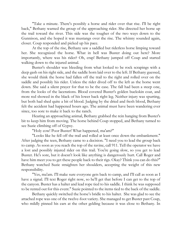"Take a minute. There's possibly a horse and rider over that rise. I'll be right back," Bethany warned the group of the approaching rider. She directed her horse up the trail toward the river. This side was the tougher of the two ways down to the Gunnison, and she hoped it was mustangs over the rise. The whinny sounded again, closer. Coup responded and picked up his pace.

At the top of the rise, Bethany saw a saddled but riderless horse limping toward her. She recognized the horse. What in hell was Buster doing out here? More importantly, where was his rider? Oh, crap! Bethany jumped off Coup and started walking down to the injured animal.

Buster's shoulder was bleeding from what looked to be rock scrapings with a deep gash on his right side, and the saddle horn laid over to the left. If Bethany guessed, she would think the horse had fallen off the trail to the right and rolled over on the saddle and possibly his rider. Unless the rider dived off to the left as the horse went down. She said a silent prayer for that to be the case. The fall had been a steep one, from the looks of the lacerations. Blood covered Buster's golden buckskin coat, and more red showed in the black of his lower back right leg. Neither injury was spurting, but both had shed quite a bit of blood. Judging by the dried and fresh blood, Bethany felt the accident had happened hours ago. The animal must have been wandering ever since, too sore to make it back to the ranch.

Hearing an approaching animal, Bethany grabbed the rein hanging from Buster's bit to keep him from moving. The horse behind Coup stopped, and Bethany turned to see Suzie climbing off of Gypsy.

"Holy cow! Poor Buster! What happened, ma'am?"

"Looks like he fell off the trail and rolled at least once down the embankment." After judging the teen, Bethany came to a decision. "I need you to lead the group back to camp. As soon as you reach the top of the ravine, call 911. Tell the operator we have a lost and possibly injured rider on this trail. You're going slow, so you get to lead Buster. He's sore, but it doesn't look like anything is dangerously hurt. Call Roger and have him meet you to get these people back to their rigs. Okay? Think you can do this?" Bethany watched Suzie straighten her shoulders, accepting the weight of this new responsibility.

"Yes, ma'am. I'll make sure everyone gets back to camp, and I'll call as soon as I have a signal. I'll text Roger right now, so he'll get that before I can get to the top of the canyon. Buster has a halter and lead rope tied to his saddle. I think he was supposed to be rented out for this event." Suzie pointed to the items tied to the back of the saddle.

Bethany quickly switched the horse's bridle to his halter. She was glad to see the attached rope was one of the twelve-foot variety. She managed to get Buster past Coup, who mildly pinned his ears at the other gelding because it was close to Bethany. In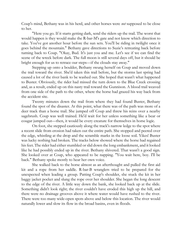Coup's mind, Bethany was in his herd, and other horses were *not* supposed to be close to her.

"Here you go. If it starts getting dark, send the riders up the trail. The worst that would happen is they would make the R-bar-M's gate and not know which direction to take. You've got another hour before the sun sets. You'll be riding in twilight once it goes behind the mountain." Bethany gave directions to Suzie's retreating back before turning back to Coup. "Okay, Bud. It's just you and me. Let's see if we can find the scene of the wreck before dark. The full moon is still several days off, but it should be bright enough for us to retrace our steps—if the clouds stay away."

Stepping up onto a boulder, Bethany swung herself on Coup and moved down the trail toward the river. She'd taken this trail before, but the storms last spring had caused a lot of the river bank to be washed out. She hoped that wasn't what happened to Buster. Obviously, the rider had missed the turn down to the Blue Creek crossing and, as a result, ended up on this nasty trail toward the Gunnison. A blood trail weaved from one side of the path to the other, where the horse had grazed his way back from the accident site.

Twenty minutes down the trail from where they had found Buster, Bethany found the spot of the disaster. At this point, what there was of the path was more of a deer track than a horse trail. She jumped off Coup and threw his reins over a nearby sagebrush. Coup was well trained. He'd wait for her unless something like a bear or cougar jumped out—then, it would be every creature for themselves in horse logic.

On foot, she stepped cautiously along the track's narrow ledge to the spot where a recent slide from erosion had taken out the entire path. She stopped and peered over the edge, whistling at the drop and the scramble marks in the loose soil. Yikes! Buster was lucky nothing had broken. The tracks below showed where the horse had regained his feet. The rider had either stumbled or slid down the long embankment, and it looked like he had possibly ended up in the river. Bethany shivered. That wasn't a good sign. She looked over at Coup, who appeared to be napping. "You wait here, boy. I'll be back." Bethany spoke mostly to hear her own voice.

She walked back to the horse almost as an afterthought and pulled the first aid kit and a rope from her saddle. R-bar-B wranglers tried to be prepared for the unexpected when leading a group. Patting Coup's shoulder, she stuck the kit in her baggy jacket pocket and slung the rope over her shoulder. She began the long descent to the edge of the river. A little way down the bank, she looked back up at the slide. Something didn't look right; the river couldn't have eroded this high up the hill, and there were no drainage grooves above it where water would have rushed to the river. There were too many wide-open spots above and below this location. The river would naturally lower and slow its flow in the broad basins, even in floods.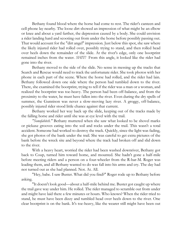Bethany found blood where the horse had come to rest. The rider's canteen and cell phone lay nearby. The loose dirt showed an impression of what might be an elbow or knee and about a yard farther, the depression caused by a body. She could envision a rider landing hard and scooting out from under the horse before possibly passing out. That would account for the "dirt angel" impression. Just below this spot, she saw where the likely injured rider had rolled over, possibly trying to stand, and then rolled head over heels down the remainder of the slide. At the river's edge, only one bootprint remained inches from the water. *SHIT!* From this angle, it looked like the rider had gone into the river.

Bethany moved to the side of the slide. No sense in messing up the tracks that Search and Rescue would need to track the unfortunate rider. She took photos with her phone in each part of the scene. Where the horse had rolled, and the rider had lain. Bethany followed down one side where the person had tumbled down to the river. There, she examined the bootprint, trying to tell if the rider was a man or a woman, and realized the bootprint was toe-heavy. The person had been off-balance, and from the proximity to the water, he must have fallen into the river. Even during the dry spells of summer, the Gunnison was never a slow-moving lazy river. A groggy, off-balance, possibly injured rider stood little chance against that current.

Bethany worked her way back up the slide, keeping out of the tracks made by the falling horse and rider until she was at eye level with the trail.

*"Sonofabitch."* Bethany muttered when she saw what looked to be shovel marks or pickaxe grooves eating into the soil and rocks under the trail. This wasn't a total accident. Someone had worked to destroy the track. Quickly, since the light was fading, she got photos of the bank under the trail. She was careful to get extra pictures of the bank before the wreck site and beyond where the track had broken off and slid down to the river.

With a heavy heart, worried the rider had been washed downriver, Bethany got back to Coup, turned him toward home, and mounted. She hadn't gone a half-mile before meeting riders and a person on a four-wheeler from the R-bar-M. Roger was leading them, and all Bethany wanted to do was fall into his arms and cry. The day had not turned out as she had planned. Not. At. All.

"Hey, babe. I saw Buster. What did you find?" Roger rode up to Bethany before asking.

"It doesn't look good—about a half-mile behind me. Buster got caught up where the trail gave way under him. He rolled. The rider managed to scramble out from under and might have laid there a few minutes or hours. Who knows? When the rider tried to stand, he must have been dizzy and tumbled head over heels down to the river. One clear bootprint is on the bank. It's toe-heavy, like the wearer still might have been out